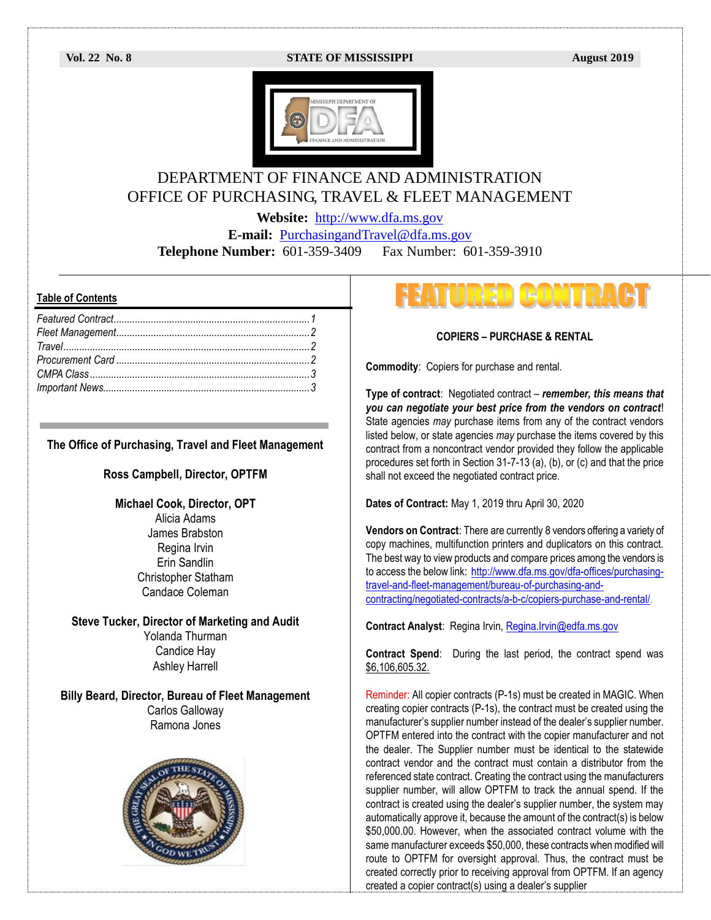### **Vol. 22 No. 8 STATE OF MISSISSIPPI August 2019**



## DEPARTMENT OF FINANCE AND ADMINISTRATION OFFICE OF PURCHASING, TRAVEL & FLEET MANAGEMENT

**Website:** [http://www.dfa.ms.gov](http://www.dfa.ms.gov/)

**E-mail:** [PurchasingandTravel@dfa.ms.gov](mailto:PurchasingandTravel@dfa.ms.gov)

**Telephone Number:** 601-359-3409 Fax Number: 601-359-3910

### **Table of Contents**

| True                  |  |
|-----------------------|--|
|                       |  |
| CMPA Class $\ldots$ 3 |  |
|                       |  |

### **The Office of Purchasing, Travel and Fleet Management**

### **Ross Campbell, Director, OPTFM**

### **Michael Cook, Director, OPT**

Alicia Adams James Brabston Regina Irvin Erin Sandlin Christopher Statham Candace Coleman

### **Steve Tucker, Director of Marketing and Audit** Yolanda Thurman

Candice Hay Ashley Harrell

### **Billy Beard, Director, Bureau of Fleet Management** Carlos Galloway Ramona Jones



# FEATURED CONTRACT

### **COPIERS – PURCHASE & RENTAL**

**Commodity**: Copiers for purchase and rental.

**Type of contract**: Negotiated contract – *remember, this means that you can negotiate your best price from the vendors on contract*! State agencies *may* purchase items from any of the contract vendors listed below, or state agencies *may* purchase the items covered by this contract from a noncontract vendor provided they follow the applicable procedures set forth in Section 31-7-13 (a), (b), or (c) and that the price shall not exceed the negotiated contract price.

**Dates of Contract:** May 1, 2019 thru April 30, 2020

**Vendors on Contract**: There are currently 8 vendors offering a variety of copy machines, multifunction printers and duplicators on this contract. The best way to view products and compare prices among the vendors is to access the below link: [http://www.dfa.ms.gov/dfa-offices/purchasing](http://www.dfa.ms.gov/dfa-offices/purchasing-travel-and-fleet-management/bureau-of-purchasing-and-contracting/negotiated-contracts/a-b-c/copiers-purchase-and-rental/)[travel-and-fleet-management/bureau-of-purchasing-and](http://www.dfa.ms.gov/dfa-offices/purchasing-travel-and-fleet-management/bureau-of-purchasing-and-contracting/negotiated-contracts/a-b-c/copiers-purchase-and-rental/)[contracting/negotiated-contracts/a-b-c/copiers-purchase-and-rental/.](http://www.dfa.ms.gov/dfa-offices/purchasing-travel-and-fleet-management/bureau-of-purchasing-and-contracting/negotiated-contracts/a-b-c/copiers-purchase-and-rental/)

**Contract Analyst**: Regina Irvin, [Regina.Irvin@edfa.ms.gov](mailto:Regina.Irvin@edfa.ms.gov) 

**Contract Spend**: During the last period, the contract spend was \$6,106,605.32.

Reminder: All copier contracts (P-1s) must be created in MAGIC. When creating copier contracts (P-1s), the contract must be created using the manufacturer's supplier number instead of the dealer's supplier number. OPTFM entered into the contract with the copier manufacturer and not the dealer. The Supplier number must be identical to the statewide contract vendor and the contract must contain a distributor from the referenced state contract. Creating the contract using the manufacturers supplier number, will allow OPTFM to track the annual spend. If the contract is created using the dealer's supplier number, the system may automatically approve it, because the amount of the contract(s) is below \$50,000.00. However, when the associated contract volume with the same manufacturer exceeds \$50,000, these contracts when modified will route to OPTFM for oversight approval. Thus, the contract must be created correctly prior to receiving approval from OPTFM. If an agency created a copier contract(s) using a dealer's supplier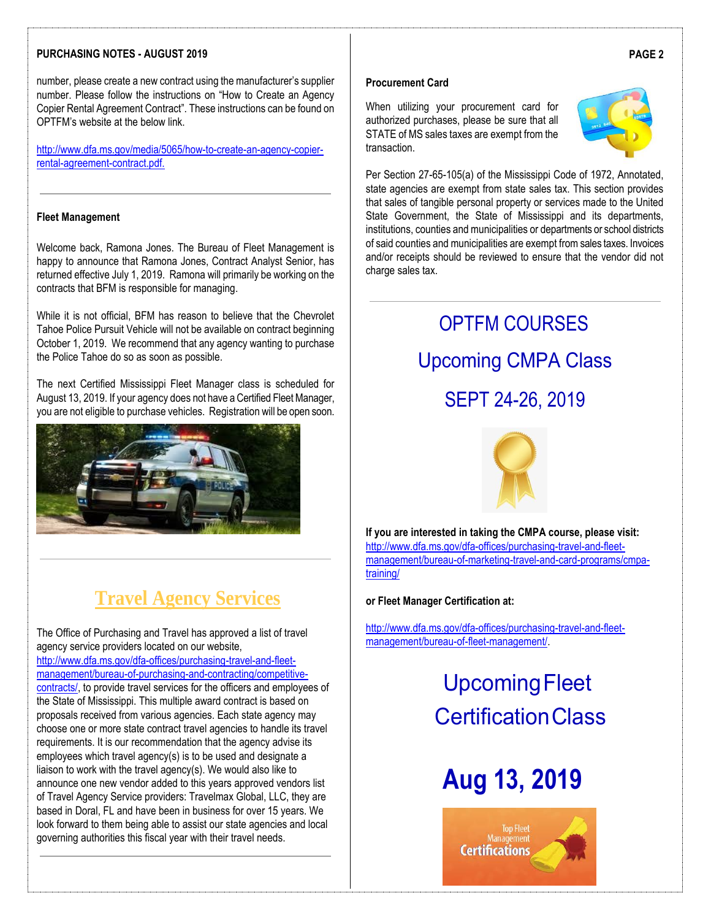### **PURCHASING NOTES - AUGUST 2019**

number, please create a new contract using the manufacturer's supplier number. Please follow the instructions on "How to Create an Agency Copier Rental Agreement Contract". These instructions can be found on OPTFM's website at the below link.

[http://www.dfa.ms.gov/media/5065/how-to-create-an-agency-copier](http://www.dfa.ms.gov/media/5065/how-to-create-an-agency-copier-rental-agreement-contract.pdf)[rental-agreement-contract.pdf.](http://www.dfa.ms.gov/media/5065/how-to-create-an-agency-copier-rental-agreement-contract.pdf)

### **Fleet Management**

Welcome back, Ramona Jones. The Bureau of Fleet Management is happy to announce that Ramona Jones, Contract Analyst Senior, has returned effective July 1, 2019. Ramona will primarily be working on the contracts that BFM is responsible for managing.

While it is not official, BFM has reason to believe that the Chevrolet Tahoe Police Pursuit Vehicle will not be available on contract beginning October 1, 2019. We recommend that any agency wanting to purchase the Police Tahoe do so as soon as possible.

The next Certified Mississippi Fleet Manager class is scheduled for August 13, 2019. If your agency does not have a Certified Fleet Manager, you are not eligible to purchase vehicles. Registration will be open soon.



## **Travel Agency Services**

The Office of Purchasing and Travel has approved a list of travel agency service providers located on our website, [http://www.dfa.ms.gov/dfa-offices/purchasing-travel-and-fleet](http://www.dfa.ms.gov/dfa-offices/purchasing-travel-and-fleet-management/bureau-of-purchasing-and-contracting/competitive-contracts/)[management/bureau-of-purchasing-and-contracting/competitive](http://www.dfa.ms.gov/dfa-offices/purchasing-travel-and-fleet-management/bureau-of-purchasing-and-contracting/competitive-contracts/)[contracts/,](http://www.dfa.ms.gov/dfa-offices/purchasing-travel-and-fleet-management/bureau-of-purchasing-and-contracting/competitive-contracts/) to provide travel services for the officers and employees of the State of Mississippi. This multiple award contract is based on proposals received from various agencies. Each state agency may choose one or more state contract travel agencies to handle its travel requirements. It is our recommendation that the agency advise its employees which travel agency(s) is to be used and designate a liaison to work with the travel agency(s). We would also like to announce one new vendor added to this years approved vendors list of Travel Agency Service providers: Travelmax Global, LLC, they are based in Doral, FL and have been in business for over 15 years. We look forward to them being able to assist our state agencies and local governing authorities this fiscal year with their travel needs.

### **Procurement Card**

When utilizing your procurement card for authorized purchases, please be sure that all STATE of MS sales taxes are exempt from the transaction.



Per Section 27-65-105(a) of the Mississippi Code of 1972, Annotated, state agencies are exempt from state sales tax. This section provides that sales of tangible personal property or services made to the United State Government, the State of Mississippi and its departments, institutions, counties and municipalities or departments or school districts of said counties and municipalities are exempt from sales taxes. Invoices and/or receipts should be reviewed to ensure that the vendor did not charge sales tax.

## OPTFM COURSES Upcoming CMPA Class SEPT 24-26, 2019



**If you are interested in taking the CMPA course, please visit:** [http://www.dfa.ms.gov/dfa-offices/purchasing-travel-and-fleet](http://www.dfa.ms.gov/dfa-offices/purchasing-travel-and-fleet-management/bureau-of-marketing-travel-and-card-programs/cmpa-training/)[management/bureau-of-marketing-travel-and-card-programs/cmpa](http://www.dfa.ms.gov/dfa-offices/purchasing-travel-and-fleet-management/bureau-of-marketing-travel-and-card-programs/cmpa-training/)[training/](http://www.dfa.ms.gov/dfa-offices/purchasing-travel-and-fleet-management/bureau-of-marketing-travel-and-card-programs/cmpa-training/)

### **or Fleet Manager Certification at:**

[http://www.dfa.ms.gov/dfa-offices/purchasing-travel-and-fleet](http://www.dfa.ms.gov/dfa-offices/purchasing-travel-and-fleet-management/bureau-of-fleet-management/)[management/bureau-of-fleet-management/.](http://www.dfa.ms.gov/dfa-offices/purchasing-travel-and-fleet-management/bureau-of-fleet-management/)

## UpcomingFleet CertificationClass

# **Aug 13, 2019**



### **PAGE 2**